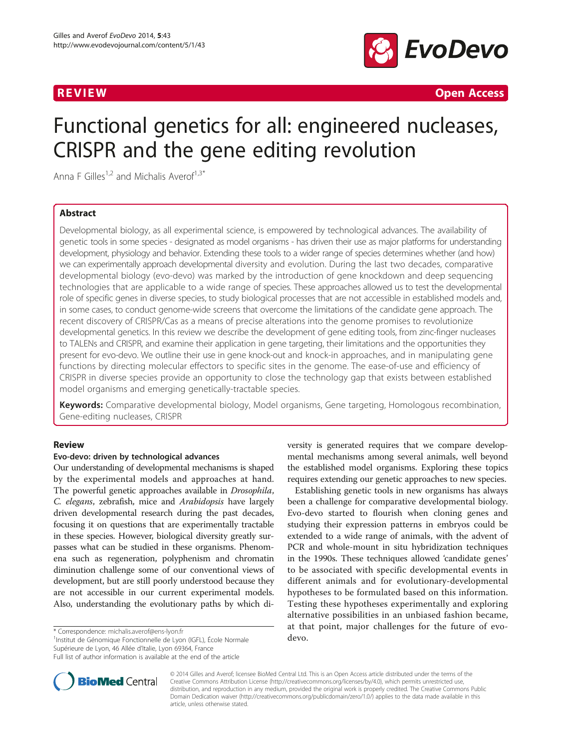

R EVI EW Open Access

# Functional genetics for all: engineered nucleases, CRISPR and the gene editing revolution

Anna F Gilles<sup>1,2</sup> and Michalis Averof<sup>1,3\*</sup>

# Abstract

Developmental biology, as all experimental science, is empowered by technological advances. The availability of genetic tools in some species - designated as model organisms - has driven their use as major platforms for understanding development, physiology and behavior. Extending these tools to a wider range of species determines whether (and how) we can experimentally approach developmental diversity and evolution. During the last two decades, comparative developmental biology (evo-devo) was marked by the introduction of gene knockdown and deep sequencing technologies that are applicable to a wide range of species. These approaches allowed us to test the developmental role of specific genes in diverse species, to study biological processes that are not accessible in established models and, in some cases, to conduct genome-wide screens that overcome the limitations of the candidate gene approach. The recent discovery of CRISPR/Cas as a means of precise alterations into the genome promises to revolutionize developmental genetics. In this review we describe the development of gene editing tools, from zinc-finger nucleases to TALENs and CRISPR, and examine their application in gene targeting, their limitations and the opportunities they present for evo-devo. We outline their use in gene knock-out and knock-in approaches, and in manipulating gene functions by directing molecular effectors to specific sites in the genome. The ease-of-use and efficiency of CRISPR in diverse species provide an opportunity to close the technology gap that exists between established model organisms and emerging genetically-tractable species.

Keywords: Comparative developmental biology, Model organisms, Gene targeting, Homologous recombination, Gene-editing nucleases, CRISPR

# Review

# Evo-devo: driven by technological advances

Our understanding of developmental mechanisms is shaped by the experimental models and approaches at hand. The powerful genetic approaches available in Drosophila, C. elegans, zebrafish, mice and Arabidopsis have largely driven developmental research during the past decades, focusing it on questions that are experimentally tractable in these species. However, biological diversity greatly surpasses what can be studied in these organisms. Phenomena such as regeneration, polyphenism and chromatin diminution challenge some of our conventional views of development, but are still poorly understood because they are not accessible in our current experimental models. Also, understanding the evolutionary paths by which di-

\* Correspondence: [michalis.averof@ens-lyon.fr](mailto:michalis.averof@ens-lyon.fr)<br><sup>1</sup>Institut de Génomique Fonctionnelle de Lyon (IGFL), École Normale **devo.** Supérieure de Lyon, 46 Allée d'Italie, Lyon 69364, France

versity is generated requires that we compare developmental mechanisms among several animals, well beyond the established model organisms. Exploring these topics requires extending our genetic approaches to new species.

Establishing genetic tools in new organisms has always been a challenge for comparative developmental biology. Evo-devo started to flourish when cloning genes and studying their expression patterns in embryos could be extended to a wide range of animals, with the advent of PCR and whole-mount in situ hybridization techniques in the 1990s. These techniques allowed 'candidate genes' to be associated with specific developmental events in different animals and for evolutionary-developmental hypotheses to be formulated based on this information. Testing these hypotheses experimentally and exploring alternative possibilities in an unbiased fashion became, at that point, major challenges for the future of evo-



© 2014 Gilles and Averof; licensee BioMed Central Ltd. This is an Open Access article distributed under the terms of the Creative Commons Attribution License (<http://creativecommons.org/licenses/by/4.0>), which permits unrestricted use, distribution, and reproduction in any medium, provided the original work is properly credited. The Creative Commons Public Domain Dedication waiver [\(http://creativecommons.org/publicdomain/zero/1.0/\)](http://creativecommons.org/publicdomain/zero/1.0/) applies to the data made available in this article, unless otherwise stated.

Full list of author information is available at the end of the article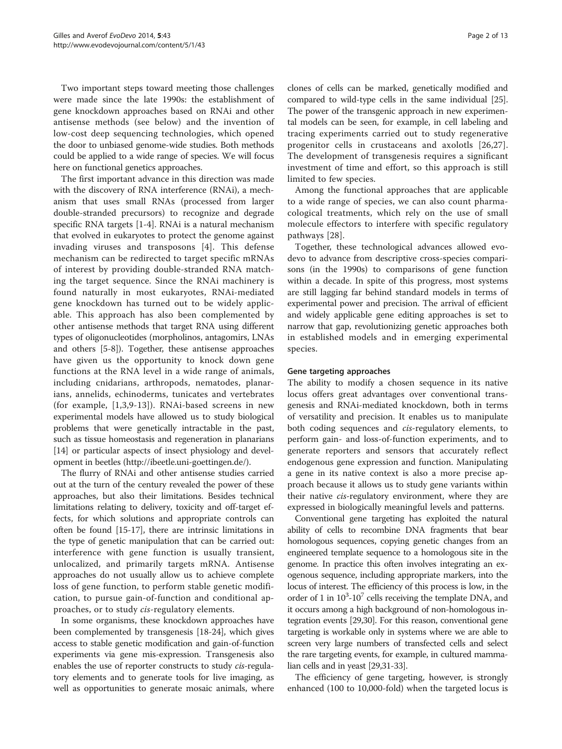Two important steps toward meeting those challenges were made since the late 1990s: the establishment of gene knockdown approaches based on RNAi and other antisense methods (see below) and the invention of low-cost deep sequencing technologies, which opened the door to unbiased genome-wide studies. Both methods could be applied to a wide range of species. We will focus here on functional genetics approaches.

The first important advance in this direction was made with the discovery of RNA interference (RNAi), a mechanism that uses small RNAs (processed from larger double-stranded precursors) to recognize and degrade specific RNA targets [\[1](#page-9-0)-[4\]](#page-9-0). RNAi is a natural mechanism that evolved in eukaryotes to protect the genome against invading viruses and transposons [[4\]](#page-9-0). This defense mechanism can be redirected to target specific mRNAs of interest by providing double-stranded RNA matching the target sequence. Since the RNAi machinery is found naturally in most eukaryotes, RNAi-mediated gene knockdown has turned out to be widely applicable. This approach has also been complemented by other antisense methods that target RNA using different types of oligonucleotides (morpholinos, antagomirs, LNAs and others [\[5](#page-9-0)-[8](#page-9-0)]). Together, these antisense approaches have given us the opportunity to knock down gene functions at the RNA level in a wide range of animals, including cnidarians, arthropods, nematodes, planarians, annelids, echinoderms, tunicates and vertebrates (for example, [[1,3](#page-9-0),[9-13\]](#page-9-0)). RNAi-based screens in new experimental models have allowed us to study biological problems that were genetically intractable in the past, such as tissue homeostasis and regeneration in planarians [[14](#page-9-0)] or particular aspects of insect physiology and development in beetles ([http://ibeetle.uni-goettingen.de/\)](http://ibeetle.uni-goettingen.de/).

The flurry of RNAi and other antisense studies carried out at the turn of the century revealed the power of these approaches, but also their limitations. Besides technical limitations relating to delivery, toxicity and off-target effects, for which solutions and appropriate controls can often be found [[15](#page-9-0)-[17\]](#page-9-0), there are intrinsic limitations in the type of genetic manipulation that can be carried out: interference with gene function is usually transient, unlocalized, and primarily targets mRNA. Antisense approaches do not usually allow us to achieve complete loss of gene function, to perform stable genetic modification, to pursue gain-of-function and conditional approaches, or to study cis-regulatory elements.

In some organisms, these knockdown approaches have been complemented by transgenesis [\[18](#page-9-0)-[24](#page-9-0)], which gives access to stable genetic modification and gain-of-function experiments via gene mis-expression. Transgenesis also enables the use of reporter constructs to study *cis-regula*tory elements and to generate tools for live imaging, as well as opportunities to generate mosaic animals, where

clones of cells can be marked, genetically modified and compared to wild-type cells in the same individual [[25](#page-9-0)]. The power of the transgenic approach in new experimental models can be seen, for example, in cell labeling and tracing experiments carried out to study regenerative progenitor cells in crustaceans and axolotls [[26,27](#page-9-0)]. The development of transgenesis requires a significant investment of time and effort, so this approach is still limited to few species.

Among the functional approaches that are applicable to a wide range of species, we can also count pharmacological treatments, which rely on the use of small molecule effectors to interfere with specific regulatory pathways [[28\]](#page-9-0).

Together, these technological advances allowed evodevo to advance from descriptive cross-species comparisons (in the 1990s) to comparisons of gene function within a decade. In spite of this progress, most systems are still lagging far behind standard models in terms of experimental power and precision. The arrival of efficient and widely applicable gene editing approaches is set to narrow that gap, revolutionizing genetic approaches both in established models and in emerging experimental species.

# Gene targeting approaches

The ability to modify a chosen sequence in its native locus offers great advantages over conventional transgenesis and RNAi-mediated knockdown, both in terms of versatility and precision. It enables us to manipulate both coding sequences and cis-regulatory elements, to perform gain- and loss-of-function experiments, and to generate reporters and sensors that accurately reflect endogenous gene expression and function. Manipulating a gene in its native context is also a more precise approach because it allows us to study gene variants within their native *cis-regulatory* environment, where they are expressed in biologically meaningful levels and patterns.

Conventional gene targeting has exploited the natural ability of cells to recombine DNA fragments that bear homologous sequences, copying genetic changes from an engineered template sequence to a homologous site in the genome. In practice this often involves integrating an exogenous sequence, including appropriate markers, into the locus of interest. The efficiency of this process is low, in the order of 1 in  $10^3$ - $10^7$  cells receiving the template DNA, and it occurs among a high background of non-homologous integration events [[29,30](#page-9-0)]. For this reason, conventional gene targeting is workable only in systems where we are able to screen very large numbers of transfected cells and select the rare targeting events, for example, in cultured mammalian cells and in yeast [\[29,31](#page-9-0)-[33](#page-9-0)].

The efficiency of gene targeting, however, is strongly enhanced (100 to 10,000-fold) when the targeted locus is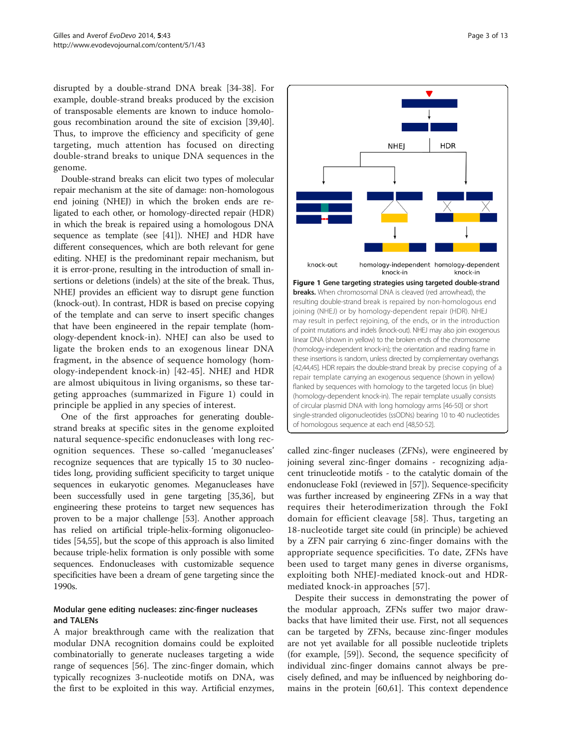<span id="page-2-0"></span>disrupted by a double-strand DNA break [\[34-38](#page-9-0)]. For example, double-strand breaks produced by the excision of transposable elements are known to induce homologous recombination around the site of excision [\[39,40](#page-9-0)]. Thus, to improve the efficiency and specificity of gene targeting, much attention has focused on directing double-strand breaks to unique DNA sequences in the genome.

Double-strand breaks can elicit two types of molecular repair mechanism at the site of damage: non-homologous end joining (NHEJ) in which the broken ends are religated to each other, or homology-directed repair (HDR) in which the break is repaired using a homologous DNA sequence as template (see [\[41](#page-9-0)]). NHEJ and HDR have different consequences, which are both relevant for gene editing. NHEJ is the predominant repair mechanism, but it is error-prone, resulting in the introduction of small insertions or deletions (indels) at the site of the break. Thus, NHEJ provides an efficient way to disrupt gene function (knock-out). In contrast, HDR is based on precise copying of the template and can serve to insert specific changes that have been engineered in the repair template (homology-dependent knock-in). NHEJ can also be used to ligate the broken ends to an exogenous linear DNA fragment, in the absence of sequence homology (homology-independent knock-in) [[42-](#page-9-0)[45\]](#page-10-0). NHEJ and HDR are almost ubiquitous in living organisms, so these targeting approaches (summarized in Figure 1) could in principle be applied in any species of interest.

One of the first approaches for generating doublestrand breaks at specific sites in the genome exploited natural sequence-specific endonucleases with long recognition sequences. These so-called 'meganucleases' recognize sequences that are typically 15 to 30 nucleotides long, providing sufficient specificity to target unique sequences in eukaryotic genomes. Meganucleases have been successfully used in gene targeting [\[35,36](#page-9-0)], but engineering these proteins to target new sequences has proven to be a major challenge [\[53](#page-10-0)]. Another approach has relied on artificial triple-helix-forming oligonucleotides [\[54,55\]](#page-10-0), but the scope of this approach is also limited because triple-helix formation is only possible with some sequences. Endonucleases with customizable sequence specificities have been a dream of gene targeting since the 1990s.

# Modular gene editing nucleases: zinc-finger nucleases and TALENs

A major breakthrough came with the realization that modular DNA recognition domains could be exploited combinatorially to generate nucleases targeting a wide range of sequences [[56\]](#page-10-0). The zinc-finger domain, which typically recognizes 3-nucleotide motifs on DNA, was the first to be exploited in this way. Artificial enzymes,



called zinc-finger nucleases (ZFNs), were engineered by joining several zinc-finger domains - recognizing adjacent trinucleotide motifs - to the catalytic domain of the endonuclease FokI (reviewed in [\[57\]](#page-10-0)). Sequence-specificity was further increased by engineering ZFNs in a way that requires their heterodimerization through the FokI domain for efficient cleavage [\[58\]](#page-10-0). Thus, targeting an 18-nucleotide target site could (in principle) be achieved by a ZFN pair carrying 6 zinc-finger domains with the appropriate sequence specificities. To date, ZFNs have been used to target many genes in diverse organisms, exploiting both NHEJ-mediated knock-out and HDRmediated knock-in approaches [\[57](#page-10-0)].

Despite their success in demonstrating the power of the modular approach, ZFNs suffer two major drawbacks that have limited their use. First, not all sequences can be targeted by ZFNs, because zinc-finger modules are not yet available for all possible nucleotide triplets (for example, [[59\]](#page-10-0)). Second, the sequence specificity of individual zinc-finger domains cannot always be precisely defined, and may be influenced by neighboring domains in the protein [[60,61\]](#page-10-0). This context dependence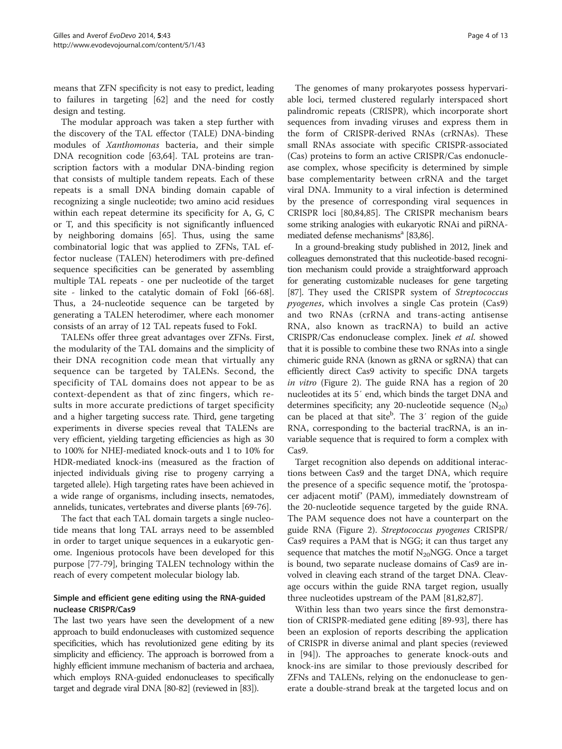means that ZFN specificity is not easy to predict, leading to failures in targeting [[62](#page-10-0)] and the need for costly design and testing.

The modular approach was taken a step further with the discovery of the TAL effector (TALE) DNA-binding modules of Xanthomonas bacteria, and their simple DNA recognition code [[63,64\]](#page-10-0). TAL proteins are transcription factors with a modular DNA-binding region that consists of multiple tandem repeats. Each of these repeats is a small DNA binding domain capable of recognizing a single nucleotide; two amino acid residues within each repeat determine its specificity for A, G, C or T, and this specificity is not significantly influenced by neighboring domains [[65\]](#page-10-0). Thus, using the same combinatorial logic that was applied to ZFNs, TAL effector nuclease (TALEN) heterodimers with pre-defined sequence specificities can be generated by assembling multiple TAL repeats - one per nucleotide of the target site - linked to the catalytic domain of FokI [\[66-68](#page-10-0)]. Thus, a 24-nucleotide sequence can be targeted by generating a TALEN heterodimer, where each monomer consists of an array of 12 TAL repeats fused to FokI.

TALENs offer three great advantages over ZFNs. First, the modularity of the TAL domains and the simplicity of their DNA recognition code mean that virtually any sequence can be targeted by TALENs. Second, the specificity of TAL domains does not appear to be as context-dependent as that of zinc fingers, which results in more accurate predictions of target specificity and a higher targeting success rate. Third, gene targeting experiments in diverse species reveal that TALENs are very efficient, yielding targeting efficiencies as high as 30 to 100% for NHEJ-mediated knock-outs and 1 to 10% for HDR-mediated knock-ins (measured as the fraction of injected individuals giving rise to progeny carrying a targeted allele). High targeting rates have been achieved in a wide range of organisms, including insects, nematodes, annelids, tunicates, vertebrates and diverse plants [\[69](#page-10-0)-[76](#page-10-0)].

The fact that each TAL domain targets a single nucleotide means that long TAL arrays need to be assembled in order to target unique sequences in a eukaryotic genome. Ingenious protocols have been developed for this purpose [\[77-79](#page-10-0)], bringing TALEN technology within the reach of every competent molecular biology lab.

# Simple and efficient gene editing using the RNA-guided nuclease CRISPR/Cas9

The last two years have seen the development of a new approach to build endonucleases with customized sequence specificities, which has revolutionized gene editing by its simplicity and efficiency. The approach is borrowed from a highly efficient immune mechanism of bacteria and archaea, which employs RNA-guided endonucleases to specifically target and degrade viral DNA [[80-82\]](#page-10-0) (reviewed in [\[83](#page-10-0)]).

The genomes of many prokaryotes possess hypervariable loci, termed clustered regularly interspaced short palindromic repeats (CRISPR), which incorporate short sequences from invading viruses and express them in the form of CRISPR-derived RNAs (crRNAs). These small RNAs associate with specific CRISPR-associated (Cas) proteins to form an active CRISPR/Cas endonuclease complex, whose specificity is determined by simple base complementarity between crRNA and the target viral DNA. Immunity to a viral infection is determined by the presence of corresponding viral sequences in CRISPR loci [\[80,84,85\]](#page-10-0). The CRISPR mechanism bears some striking analogies with eukaryotic RNAi and piRNA-mediated defense mechanisms<sup>a</sup> [[83,86\]](#page-10-0).

In a ground-breaking study published in 2012, Jinek and colleagues demonstrated that this nucleotide-based recognition mechanism could provide a straightforward approach for generating customizable nucleases for gene targeting [[87\]](#page-11-0). They used the CRISPR system of Streptococcus pyogenes, which involves a single Cas protein (Cas9) and two RNAs (crRNA and trans-acting antisense RNA, also known as tracRNA) to build an active CRISPR/Cas endonuclease complex. Jinek et al. showed that it is possible to combine these two RNAs into a single chimeric guide RNA (known as gRNA or sgRNA) that can efficiently direct Cas9 activity to specific DNA targets in vitro (Figure [2](#page-4-0)). The guide RNA has a region of 20 nucleotides at its 5′ end, which binds the target DNA and determines specificity; any 20-nucleotide sequence  $(N_{20})$ can be placed at that site<sup>b</sup>. The 3' region of the guide RNA, corresponding to the bacterial tracRNA, is an invariable sequence that is required to form a complex with Cas9.

Target recognition also depends on additional interactions between Cas9 and the target DNA, which require the presence of a specific sequence motif, the 'protospacer adjacent motif' (PAM), immediately downstream of the 20-nucleotide sequence targeted by the guide RNA. The PAM sequence does not have a counterpart on the guide RNA (Figure [2\)](#page-4-0). Streptococcus pyogenes CRISPR/ Cas9 requires a PAM that is NGG; it can thus target any sequence that matches the motif  $N_{20}NGG$ . Once a target is bound, two separate nuclease domains of Cas9 are involved in cleaving each strand of the target DNA. Cleavage occurs within the guide RNA target region, usually three nucleotides upstream of the PAM [\[81,82,](#page-10-0)[87\]](#page-11-0).

Within less than two years since the first demonstration of CRISPR-mediated gene editing [[89-93](#page-11-0)], there has been an explosion of reports describing the application of CRISPR in diverse animal and plant species (reviewed in [\[94](#page-11-0)]). The approaches to generate knock-outs and knock-ins are similar to those previously described for ZFNs and TALENs, relying on the endonuclease to generate a double-strand break at the targeted locus and on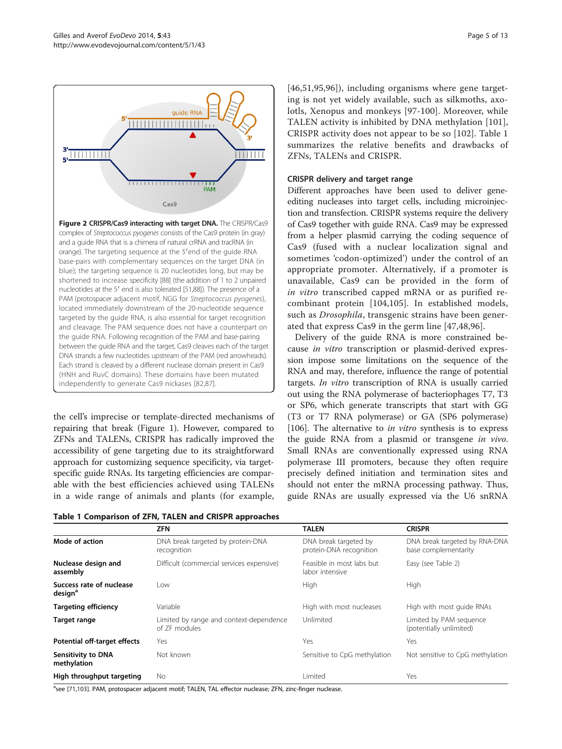

<span id="page-4-0"></span>

Figure 2 CRISPR/Cas9 interacting with target DNA. The CRISPR/Cas9 complex of Streptococcus pyogenes consists of the Cas9 protein (in gray) and a guide RNA that is a chimera of natural crRNA and tracRNA (in orange). The targeting sequence at the 5′end of the guide RNA base-pairs with complementary sequences on the target DNA (in blue); the targeting sequence is 20 nucleotides long, but may be shortened to increase specificity [[88](#page-11-0)] (the addition of 1 to 2 unpaired nucleotides at the 5′ end is also tolerated [\[51](#page-10-0),[88](#page-11-0)]). The presence of a PAM (protospacer adjacent motif, NGG for Streptococcus pyogenes), located immediately downstream of the 20-nucleotide sequence targeted by the guide RNA, is also essential for target recognition and cleavage. The PAM sequence does not have a counterpart on the guide RNA. Following recognition of the PAM and base-pairing between the guide RNA and the target, Cas9 cleaves each of the target DNA strands a few nucleotides upstream of the PAM (red arrowheads). Each strand is cleaved by a different nuclease domain present in Cas9 (HNH and RuvC domains). These domains have been mutated independently to generate Cas9 nickases [[82,](#page-10-0)[87\]](#page-11-0).

the cell's imprecise or template-directed mechanisms of repairing that break (Figure [1](#page-2-0)). However, compared to ZFNs and TALENs, CRISPR has radically improved the accessibility of gene targeting due to its straightforward approach for customizing sequence specificity, via targetspecific guide RNAs. Its targeting efficiencies are comparable with the best efficiencies achieved using TALENs in a wide range of animals and plants (for example,

Table 1 Comparison of ZFN, TALEN and CRISPR approaches

[[46,51,](#page-10-0)[95,96](#page-11-0)]), including organisms where gene targeting is not yet widely available, such as silkmoths, axolotls, Xenopus and monkeys [[97](#page-11-0)-[100](#page-11-0)]. Moreover, while TALEN activity is inhibited by DNA methylation [[101](#page-11-0)], CRISPR activity does not appear to be so [\[102](#page-11-0)]. Table 1 summarizes the relative benefits and drawbacks of ZFNs, TALENs and CRISPR.

# CRISPR delivery and target range

Different approaches have been used to deliver geneediting nucleases into target cells, including microinjection and transfection. CRISPR systems require the delivery of Cas9 together with guide RNA. Cas9 may be expressed from a helper plasmid carrying the coding sequence of Cas9 (fused with a nuclear localization signal and sometimes 'codon-optimized') under the control of an appropriate promoter. Alternatively, if a promoter is unavailable, Cas9 can be provided in the form of in vitro transcribed capped mRNA or as purified recombinant protein [\[104](#page-11-0),[105\]](#page-11-0). In established models, such as Drosophila, transgenic strains have been generated that express Cas9 in the germ line [[47,48](#page-10-0),[96\]](#page-11-0).

Delivery of the guide RNA is more constrained because in vitro transcription or plasmid-derived expression impose some limitations on the sequence of the RNA and may, therefore, influence the range of potential targets. In vitro transcription of RNA is usually carried out using the RNA polymerase of bacteriophages T7, T3 or SP6, which generate transcripts that start with GG (T3 or T7 RNA polymerase) or GA (SP6 polymerase) [[106\]](#page-11-0). The alternative to *in vitro* synthesis is to express the guide RNA from a plasmid or transgene in vivo. Small RNAs are conventionally expressed using RNA polymerase III promoters, because they often require precisely defined initiation and termination sites and should not enter the mRNA processing pathway. Thus, guide RNAs are usually expressed via the U6 snRNA

|                                                 | <b>ZFN</b>                                               | TALEN                                            | <b>CRISPR</b>                                         |
|-------------------------------------------------|----------------------------------------------------------|--------------------------------------------------|-------------------------------------------------------|
| Mode of action                                  | DNA break targeted by protein-DNA<br>recognition         | DNA break targeted by<br>protein-DNA recognition | DNA break targeted by RNA-DNA<br>base complementarity |
| Nuclease design and<br>assembly                 | Difficult (commercial services expensive)                | Feasible in most labs but<br>labor intensive     | Easy (see Table 2)                                    |
| Success rate of nuclease<br>design <sup>a</sup> | Low                                                      | High                                             | High                                                  |
| <b>Targeting efficiency</b>                     | Variable                                                 | High with most nucleases                         | High with most guide RNAs                             |
| Target range                                    | Limited by range and context-dependence<br>of ZF modules | Unlimited                                        | Limited by PAM sequence<br>(potentially unlimited)    |
| Potential off-target effects                    | Yes                                                      | Yes                                              | Yes                                                   |
| <b>Sensitivity to DNA</b><br>methylation        | Not known                                                | Sensitive to CpG methylation                     | Not sensitive to CpG methylation                      |
| High throughput targeting                       | No.                                                      | Limited                                          | Yes                                                   |

asee [\[71](#page-10-0),[103](#page-11-0)]. PAM, protospacer adjacent motif; TALEN, TAL effector nuclease; ZFN, zinc-finger nuclease.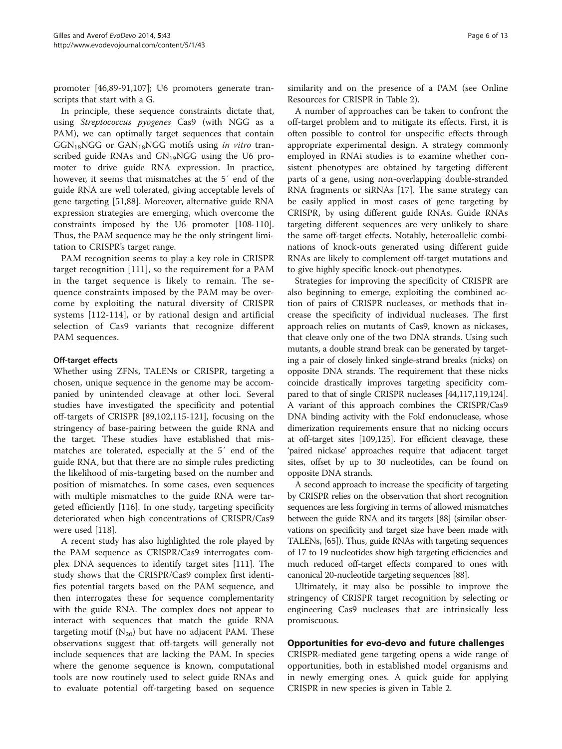promoter [[46](#page-10-0)[,89](#page-11-0)-[91,107\]](#page-11-0); U6 promoters generate transcripts that start with a G.

In principle, these sequence constraints dictate that, using Streptococcus pyogenes Cas9 (with NGG as a PAM), we can optimally target sequences that contain  $GGN_{18}NGG$  or  $GAN_{18}NGG$  motifs using in vitro transcribed guide RNAs and  $GN_{19}NGG$  using the U6 promoter to drive guide RNA expression. In practice, however, it seems that mismatches at the 5′ end of the guide RNA are well tolerated, giving acceptable levels of gene targeting [\[51](#page-10-0)[,88\]](#page-11-0). Moreover, alternative guide RNA expression strategies are emerging, which overcome the constraints imposed by the U6 promoter [\[108-110](#page-11-0)]. Thus, the PAM sequence may be the only stringent limitation to CRISPR's target range.

PAM recognition seems to play a key role in CRISPR target recognition [[111\]](#page-11-0), so the requirement for a PAM in the target sequence is likely to remain. The sequence constraints imposed by the PAM may be overcome by exploiting the natural diversity of CRISPR systems [[112](#page-11-0)-[114\]](#page-11-0), or by rational design and artificial selection of Cas9 variants that recognize different PAM sequences.

# Off-target effects

Whether using ZFNs, TALENs or CRISPR, targeting a chosen, unique sequence in the genome may be accompanied by unintended cleavage at other loci. Several studies have investigated the specificity and potential off-targets of CRISPR [[89,102,115-121\]](#page-11-0), focusing on the stringency of base-pairing between the guide RNA and the target. These studies have established that mismatches are tolerated, especially at the 5′ end of the guide RNA, but that there are no simple rules predicting the likelihood of mis-targeting based on the number and position of mismatches. In some cases, even sequences with multiple mismatches to the guide RNA were targeted efficiently [\[116](#page-11-0)]. In one study, targeting specificity deteriorated when high concentrations of CRISPR/Cas9 were used [[118](#page-11-0)].

A recent study has also highlighted the role played by the PAM sequence as CRISPR/Cas9 interrogates complex DNA sequences to identify target sites [[111\]](#page-11-0). The study shows that the CRISPR/Cas9 complex first identifies potential targets based on the PAM sequence, and then interrogates these for sequence complementarity with the guide RNA. The complex does not appear to interact with sequences that match the guide RNA targeting motif  $(N_{20})$  but have no adjacent PAM. These observations suggest that off-targets will generally not include sequences that are lacking the PAM. In species where the genome sequence is known, computational tools are now routinely used to select guide RNAs and to evaluate potential off-targeting based on sequence similarity and on the presence of a PAM (see Online Resources for CRISPR in Table [2](#page-6-0)).

A number of approaches can be taken to confront the off-target problem and to mitigate its effects. First, it is often possible to control for unspecific effects through appropriate experimental design. A strategy commonly employed in RNAi studies is to examine whether consistent phenotypes are obtained by targeting different parts of a gene, using non-overlapping double-stranded RNA fragments or siRNAs [[17](#page-9-0)]. The same strategy can be easily applied in most cases of gene targeting by CRISPR, by using different guide RNAs. Guide RNAs targeting different sequences are very unlikely to share the same off-target effects. Notably, heteroallelic combinations of knock-outs generated using different guide RNAs are likely to complement off-target mutations and to give highly specific knock-out phenotypes.

Strategies for improving the specificity of CRISPR are also beginning to emerge, exploiting the combined action of pairs of CRISPR nucleases, or methods that increase the specificity of individual nucleases. The first approach relies on mutants of Cas9, known as nickases, that cleave only one of the two DNA strands. Using such mutants, a double strand break can be generated by targeting a pair of closely linked single-strand breaks (nicks) on opposite DNA strands. The requirement that these nicks coincide drastically improves targeting specificity compared to that of single CRISPR nucleases [\[44,](#page-9-0)[117,119,124](#page-11-0)]. A variant of this approach combines the CRISPR/Cas9 DNA binding activity with the FokI endonuclease, whose dimerization requirements ensure that no nicking occurs at off-target sites [\[109,125\]](#page-11-0). For efficient cleavage, these 'paired nickase' approaches require that adjacent target sites, offset by up to 30 nucleotides, can be found on opposite DNA strands.

A second approach to increase the specificity of targeting by CRISPR relies on the observation that short recognition sequences are less forgiving in terms of allowed mismatches between the guide RNA and its targets [[88](#page-11-0)] (similar observations on specificity and target size have been made with TALENs, [[65](#page-10-0)]). Thus, guide RNAs with targeting sequences of 17 to 19 nucleotides show high targeting efficiencies and much reduced off-target effects compared to ones with canonical 20-nucleotide targeting sequences [\[88](#page-11-0)].

Ultimately, it may also be possible to improve the stringency of CRISPR target recognition by selecting or engineering Cas9 nucleases that are intrinsically less promiscuous.

# Opportunities for evo-devo and future challenges

CRISPR-mediated gene targeting opens a wide range of opportunities, both in established model organisms and in newly emerging ones. A quick guide for applying CRISPR in new species is given in Table [2.](#page-6-0)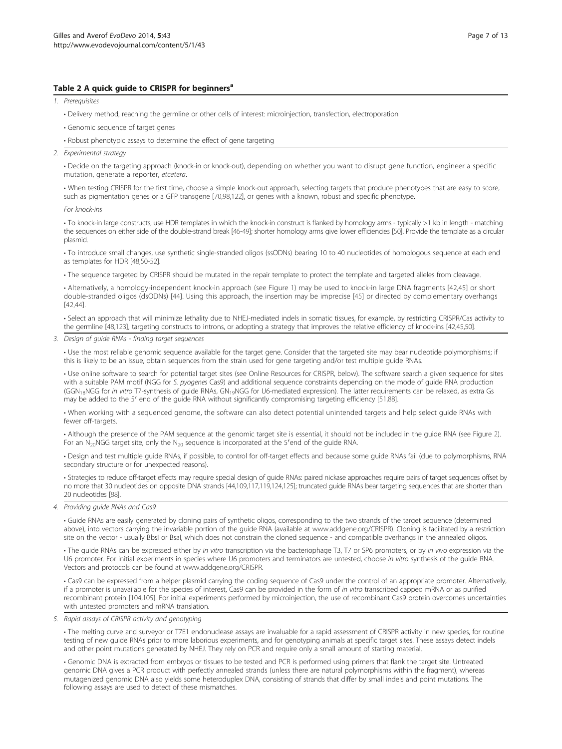# <span id="page-6-0"></span>Table 2 A quick guide to CRISPR for beginners<sup>a</sup>

1. Prerequisites

- Delivery method, reaching the germline or other cells of interest: microinjection, transfection, electroporation
- Genomic sequence of target genes
- Robust phenotypic assays to determine the effect of gene targeting

#### 2. Experimental strategy

• Decide on the targeting approach (knock-in or knock-out), depending on whether you want to disrupt gene function, engineer a specific mutation, generate a reporter, etcetera.

• When testing CRISPR for the first time, choose a simple knock-out approach, selecting targets that produce phenotypes that are easy to score, such as pigmentation genes or a GFP transgene [\[70,](#page-10-0)[98,122](#page-11-0)], or genes with a known, robust and specific phenotype.

#### For knock-ins

• To knock-in large constructs, use HDR templates in which the knock-in construct is flanked by homology arms - typically >1 kb in length - matching the sequences on either side of the double-strand break [\[46-49](#page-10-0)]; shorter homology arms give lower efficiencies [\[50\]](#page-10-0). Provide the template as a circular plasmid.

• To introduce small changes, use synthetic single-stranded oligos (ssODNs) bearing 10 to 40 nucleotides of homologous sequence at each end as templates for HDR [\[48,50-52\]](#page-10-0).

• The sequence targeted by CRISPR should be mutated in the repair template to protect the template and targeted alleles from cleavage.

• Alternatively, a homology-independent knock-in approach (see Figure [1](#page-2-0)) may be used to knock-in large DNA fragments [[42,](#page-9-0)[45\]](#page-10-0) or short double-stranded oligos (dsODNs) [[44](#page-9-0)]. Using this approach, the insertion may be imprecise [[45\]](#page-10-0) or directed by complementary overhangs [[42,44](#page-9-0)].

• Select an approach that will minimize lethality due to NHEJ-mediated indels in somatic tissues, for example, by restricting CRISPR/Cas activity to the germline [\[48](#page-10-0)[,123\]](#page-11-0), targeting constructs to introns, or adopting a strategy that improves the relative efficiency of knock-ins [[42,](#page-9-0)[45,50\]](#page-10-0).

# 3. Design of guide RNAs - finding target sequences

• Use the most reliable genomic sequence available for the target gene. Consider that the targeted site may bear nucleotide polymorphisms; if this is likely to be an issue, obtain sequences from the strain used for gene targeting and/or test multiple guide RNAs.

• Use online software to search for potential target sites (see Online Resources for CRISPR, below). The software search a given sequence for sites with a suitable PAM motif (NGG for S. pyogenes Cas9) and additional sequence constraints depending on the mode of quide RNA production (GGN<sub>18</sub>NGG for in vitro T7-synthesis of guide RNAs, GN<sub>19</sub>NGG for U6-mediated expression). The latter requirements can be relaxed, as extra Gs may be added to the 5' end of the guide RNA without significantly compromising targeting efficiency [\[51](#page-10-0)[,88\]](#page-11-0).

• When working with a sequenced genome, the software can also detect potential unintended targets and help select guide RNAs with fewer off-targets.

• Although the presence of the PAM sequence at the genomic target site is essential, it should not be included in the guide RNA (see Figure [2\)](#page-4-0). For an  $N_{20}$ NGG target site, only the  $N_{20}$  sequence is incorporated at the 5'end of the guide RNA.

• Design and test multiple guide RNAs, if possible, to control for off-target effects and because some guide RNAs fail (due to polymorphisms, RNA secondary structure or for unexpected reasons).

• Strategies to reduce off-target effects may require special design of guide RNAs: paired nickase approaches require pairs of target sequences offset by no more that 30 nucleotides on opposite DNA strands [[44](#page-9-0)[,109](#page-11-0),[117,119](#page-11-0),[124,125](#page-11-0)]; truncated guide RNAs bear targeting sequences that are shorter than 20 nucleotides [\[88\]](#page-11-0).

#### 4. Providing guide RNAs and Cas9

• Guide RNAs are easily generated by cloning pairs of synthetic oligos, corresponding to the two strands of the target sequence (determined above), into vectors carrying the invariable portion of the guide RNA (available at [www.addgene.org/CRISPR\)](http://www.addgene.org/CRISPR). Cloning is facilitated by a restriction site on the vector - usually BbsI or BsaI, which does not constrain the cloned sequence - and compatible overhangs in the annealed oligos.

• The guide RNAs can be expressed either by in vitro transcription via the bacteriophage T3, T7 or SP6 promoters, or by in vivo expression via the U6 promoter. For initial experiments in species where U6 promoters and terminators are untested, choose in vitro synthesis of the guide RNA. Vectors and protocols can be found at [www.addgene.org/CRISPR.](http://www.addgene.org/CRISPR)

• Cas9 can be expressed from a helper plasmid carrying the coding sequence of Cas9 under the control of an appropriate promoter. Alternatively, if a promoter is unavailable for the species of interest, Cas9 can be provided in the form of in vitro transcribed capped mRNA or as purified recombinant protein [\[104,105\]](#page-11-0). For initial experiments performed by microinjection, the use of recombinant Cas9 protein overcomes uncertainties with untested promoters and mRNA translation.

5. Rapid assays of CRISPR activity and genotyping

• The melting curve and surveyor or T7E1 endonuclease assays are invaluable for a rapid assessment of CRISPR activity in new species, for routine testing of new guide RNAs prior to more laborious experiments, and for genotyping animals at specific target sites. These assays detect indels and other point mutations generated by NHEJ. They rely on PCR and require only a small amount of starting material.

• Genomic DNA is extracted from embryos or tissues to be tested and PCR is performed using primers that flank the target site. Untreated genomic DNA gives a PCR product with perfectly annealed strands (unless there are natural polymorphisms within the fragment), whereas mutagenized genomic DNA also yields some heteroduplex DNA, consisting of strands that differ by small indels and point mutations. The following assays are used to detect of these mismatches.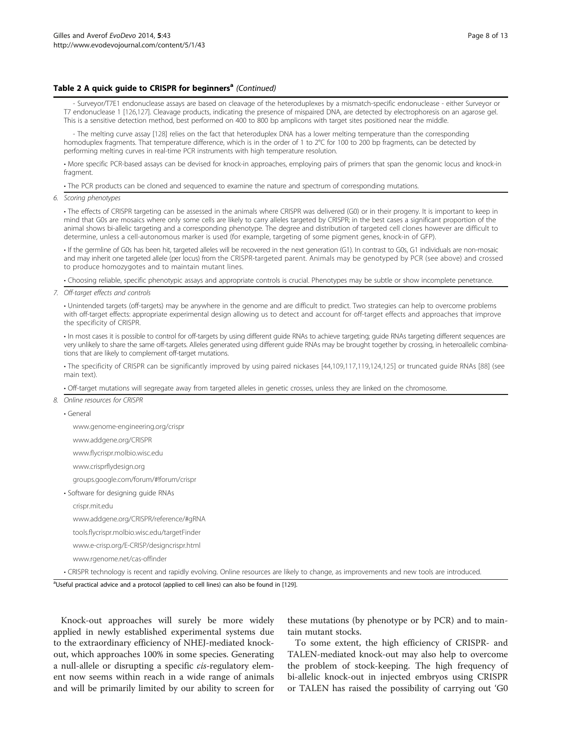# Table 2 A quick guide to CRISPR for beginners<sup>a</sup> (Continued)

- Surveyor/T7E1 endonuclease assays are based on cleavage of the heteroduplexes by a mismatch-specific endonuclease - either Surveyor or T7 endonuclease 1 [[126,127\]](#page-11-0). Cleavage products, indicating the presence of mispaired DNA, are detected by electrophoresis on an agarose gel. This is a sensitive detection method, best performed on 400 to 800 bp amplicons with target sites positioned near the middle.

- The melting curve assay [[128](#page-11-0)] relies on the fact that heteroduplex DNA has a lower melting temperature than the corresponding homoduplex fragments. That temperature difference, which is in the order of 1 to 2°C for 100 to 200 bp fragments, can be detected by performing melting curves in real-time PCR instruments with high temperature resolution.

• More specific PCR-based assays can be devised for knock-in approaches, employing pairs of primers that span the genomic locus and knock-in fragment

#### • The PCR products can be cloned and sequenced to examine the nature and spectrum of corresponding mutations.

#### 6. Scoring phenotypes

• The effects of CRISPR targeting can be assessed in the animals where CRISPR was delivered (G0) or in their progeny. It is important to keep in mind that G0s are mosaics where only some cells are likely to carry alleles targeted by CRISPR; in the best cases a significant proportion of the animal shows bi-allelic targeting and a corresponding phenotype. The degree and distribution of targeted cell clones however are difficult to determine, unless a cell-autonomous marker is used (for example, targeting of some pigment genes, knock-in of GFP).

• If the germline of G0s has been hit, targeted alleles will be recovered in the next generation (G1). In contrast to G0s, G1 individuals are non-mosaic and may inherit one targeted allele (per locus) from the CRISPR-targeted parent. Animals may be genotyped by PCR (see above) and crossed to produce homozygotes and to maintain mutant lines.

• Choosing reliable, specific phenotypic assays and appropriate controls is crucial. Phenotypes may be subtle or show incomplete penetrance.

### 7. Off-target effects and controls

• Unintended targets (off-targets) may be anywhere in the genome and are difficult to predict. Two strategies can help to overcome problems with off-target effects: appropriate experimental design allowing us to detect and account for off-target effects and approaches that improve the specificity of CRISPR.

• In most cases it is possible to control for off-targets by using different guide RNAs to achieve targeting; guide RNAs targeting different sequences are very unlikely to share the same off-targets. Alleles generated using different guide RNAs may be brought together by crossing, in heteroallelic combinations that are likely to complement off-target mutations.

• The specificity of CRISPR can be significantly improved by using paired nickases [[44,](#page-9-0)[109](#page-11-0),[117,119,124](#page-11-0),[125\]](#page-11-0) or truncated guide RNAs [\[88](#page-11-0)] (see main text).

• Off-target mutations will segregate away from targeted alleles in genetic crosses, unless they are linked on the chromosome.

8. Online resources for CRISPR

• General

[www.genome-engineering.org/crispr](http://www.genome-engineering.org/crispr)

[www.addgene.org/CRISPR](http://www.addgene.org/CRISPR)

[www.flycrispr.molbio.wisc.edu](http://www.flycrispr.molbio.wisc.edu)

[www.crisprflydesign.org](http://www.crisprflydesign.org)

[groups.google.com/forum/#!forum/crispr](http://groups.google.com/forum/#!forum/crispr)

• Software for designing guide RNAs

[crispr.mit.edu](http://crispr.mit.edu)

[www.addgene.org/CRISPR/reference/#gRNA](http://www.addgene.org/CRISPR/reference/#gRNA)

[tools.flycrispr.molbio.wisc.edu/targetFinder](http://tools.flycrispr.molbio.wisc.edu/targetFinder)

[www.e-crisp.org/E-CRISP/designcrispr.html](http://www.e-crisp.org/E-CRISP/designcrispr.html)

[www.rgenome.net/cas-offinder](http://www.rgenome.net/cas-offinder)

• CRISPR technology is recent and rapidly evolving. Online resources are likely to change, as improvements and new tools are introduced.

<sup>a</sup>Useful practical advice and a protocol (applied to cell lines) can also be found in [\[129\]](#page-11-0).

Knock-out approaches will surely be more widely applied in newly established experimental systems due to the extraordinary efficiency of NHEJ-mediated knockout, which approaches 100% in some species. Generating a null-allele or disrupting a specific cis-regulatory element now seems within reach in a wide range of animals and will be primarily limited by our ability to screen for

these mutations (by phenotype or by PCR) and to maintain mutant stocks.

To some extent, the high efficiency of CRISPR- and TALEN-mediated knock-out may also help to overcome the problem of stock-keeping. The high frequency of bi-allelic knock-out in injected embryos using CRISPR or TALEN has raised the possibility of carrying out 'G0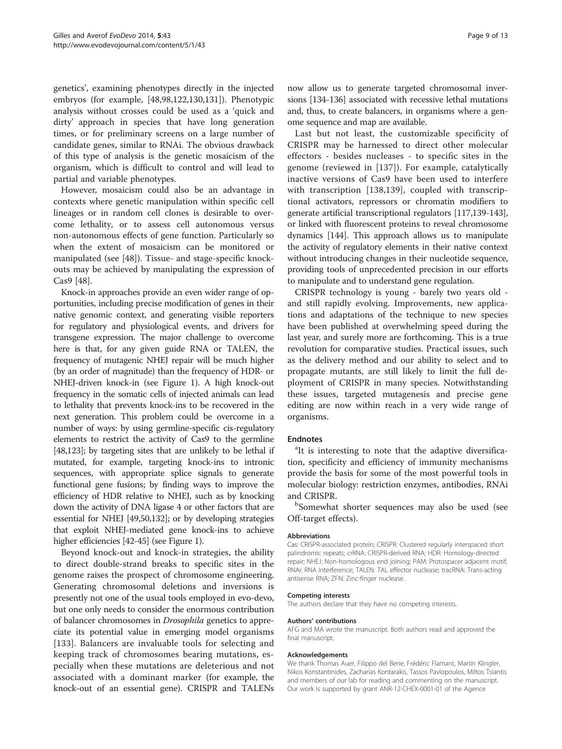genetics', examining phenotypes directly in the injected embryos (for example, [\[48](#page-10-0)[,98,122,130,131\]](#page-11-0)). Phenotypic analysis without crosses could be used as a 'quick and dirty' approach in species that have long generation times, or for preliminary screens on a large number of candidate genes, similar to RNAi. The obvious drawback of this type of analysis is the genetic mosaicism of the organism, which is difficult to control and will lead to partial and variable phenotypes.

However, mosaicism could also be an advantage in contexts where genetic manipulation within specific cell lineages or in random cell clones is desirable to overcome lethality, or to assess cell autonomous versus non-autonomous effects of gene function. Particularly so when the extent of mosaicism can be monitored or manipulated (see [[48](#page-10-0)]). Tissue- and stage-specific knockouts may be achieved by manipulating the expression of Cas9 [[48](#page-10-0)].

Knock-in approaches provide an even wider range of opportunities, including precise modification of genes in their native genomic context, and generating visible reporters for regulatory and physiological events, and drivers for transgene expression. The major challenge to overcome here is that, for any given guide RNA or TALEN, the frequency of mutagenic NHEJ repair will be much higher (by an order of magnitude) than the frequency of HDR- or NHEJ-driven knock-in (see Figure [1\)](#page-2-0). A high knock-out frequency in the somatic cells of injected animals can lead to lethality that prevents knock-ins to be recovered in the next generation. This problem could be overcome in a number of ways: by using germline-specific cis-regulatory elements to restrict the activity of Cas9 to the germline [[48](#page-10-0)[,123](#page-11-0)]; by targeting sites that are unlikely to be lethal if mutated, for example, targeting knock-ins to intronic sequences, with appropriate splice signals to generate functional gene fusions; by finding ways to improve the efficiency of HDR relative to NHEJ, such as by knocking down the activity of DNA ligase 4 or other factors that are essential for NHEJ [\[49,50](#page-10-0)[,132\]](#page-11-0); or by developing strategies that exploit NHEJ-mediated gene knock-ins to achieve higher efficiencies [[42](#page-9-0)-[45](#page-10-0)] (see Figure [1](#page-2-0)).

Beyond knock-out and knock-in strategies, the ability to direct double-strand breaks to specific sites in the genome raises the prospect of chromosome engineering. Generating chromosomal deletions and inversions is presently not one of the usual tools employed in evo-devo, but one only needs to consider the enormous contribution of balancer chromosomes in Drosophila genetics to appreciate its potential value in emerging model organisms [[133](#page-12-0)]. Balancers are invaluable tools for selecting and keeping track of chromosomes bearing mutations, especially when these mutations are deleterious and not associated with a dominant marker (for example, the knock-out of an essential gene). CRISPR and TALENs now allow us to generate targeted chromosomal inversions [\[134-136\]](#page-12-0) associated with recessive lethal mutations and, thus, to create balancers, in organisms where a genome sequence and map are available.

Last but not least, the customizable specificity of CRISPR may be harnessed to direct other molecular effectors - besides nucleases - to specific sites in the genome (reviewed in [[137\]](#page-12-0)). For example, catalytically inactive versions of Cas9 have been used to interfere with transcription [[138,139](#page-12-0)], coupled with transcriptional activators, repressors or chromatin modifiers to generate artificial transcriptional regulators [\[117](#page-11-0)[,139-143](#page-12-0)], or linked with fluorescent proteins to reveal chromosome dynamics [\[144](#page-12-0)]. This approach allows us to manipulate the activity of regulatory elements in their native context without introducing changes in their nucleotide sequence, providing tools of unprecedented precision in our efforts to manipulate and to understand gene regulation.

CRISPR technology is young - barely two years old and still rapidly evolving. Improvements, new applications and adaptations of the technique to new species have been published at overwhelming speed during the last year, and surely more are forthcoming. This is a true revolution for comparative studies. Practical issues, such as the delivery method and our ability to select and to propagate mutants, are still likely to limit the full deployment of CRISPR in many species. Notwithstanding these issues, targeted mutagenesis and precise gene editing are now within reach in a very wide range of organisms.

# **Endnotes**

<sup>a</sup>It is interesting to note that the adaptive diversification, specificity and efficiency of immunity mechanisms provide the basis for some of the most powerful tools in molecular biology: restriction enzymes, antibodies, RNAi and CRISPR.

b Somewhat shorter sequences may also be used (see Off-target effects).

#### Abbreviations

Cas: CRISPR-associated protein; CRISPR: Clustered regularly interspaced short palindromic repeats; crRNA: CRISPR-derived RNA; HDR: Homology-directed repair; NHEJ: Non-homologous end joining; PAM: Protospacer adjacent motif; RNAi: RNA Interference; TALEN: TAL effector nuclease; tracRNA: Trans-acting antisense RNA; ZFN: Zinc-finger nuclease.

#### Competing interests

The authors declare that they have no competing interests.

#### Authors' contributions

AFG and MA wrote the manuscript. Both authors read and approved the final manuscript.

#### Acknowledgements

We thank Thomas Auer, Filippo del Bene, Frédéric Flamant, Martin Klingler, Nikos Konstantinides, Zacharias Kontarakis, Tassos Pavlopoulos, Miltos Tsiantis and members of our lab for reading and commenting on the manuscript. Our work is supported by grant ANR-12-CHEX-0001-01 of the Agence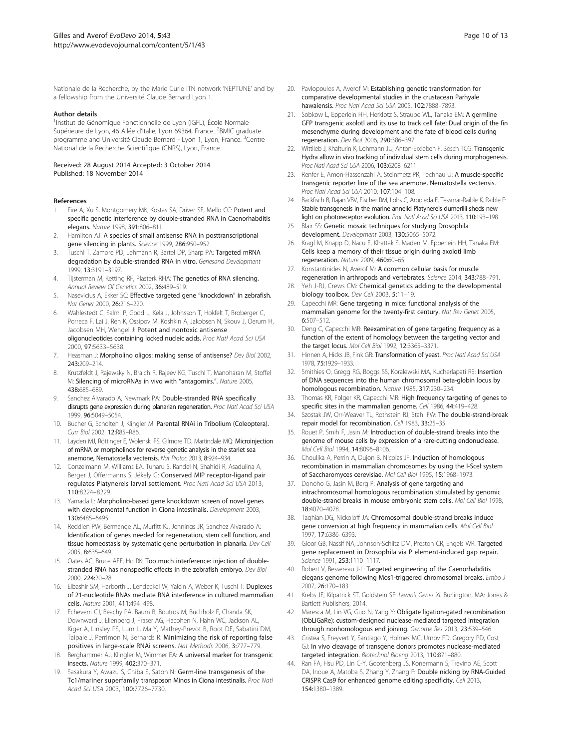<span id="page-9-0"></span>Nationale de la Recherche, by the Marie Curie ITN network 'NEPTUNE' and by a fellowship from the Université Claude Bernard Lyon 1.

#### Author details

<sup>1</sup>Institut de Génomique Fonctionnelle de Lyon (IGFL), École Normale Supérieure de Lyon, 46 Allée d'Italie, Lyon 69364, France. <sup>2</sup>BMIC graduate programme and Université Claude Bernard - Lyon 1, Lyon, France. <sup>3</sup>Centre National de la Recherche Scientifique (CNRS), Lyon, France.

Received: 28 August 2014 Accepted: 3 October 2014 Published: 18 November 2014

#### References

- 1. Fire A, Xu S, Montgomery MK, Kostas SA, Driver SE, Mello CC: Potent and specific genetic interference by double-stranded RNA in Caenorhabditis elegans. Nature 1998, 391:806–811.
- 2. Hamilton AJ: A species of small antisense RNA in posttranscriptional gene silencing in plants. Science 1999, 286:950–952.
- 3. Tuschl T, Zamore PD, Lehmann R, Bartel DP, Sharp PA: Targeted mRNA degradation by double-stranded RNA in vitro. Genesand Development 1999, 13:3191–3197.
- 4. Tijsterman M, Ketting RF, Plasterk RHA: The genetics of RNA silencing. Annual Review Of Genetics 2002, 36:489–519.
- 5. Nasevicius A, Ekker SC: Effective targeted gene "knockdown" in zebrafish. Nat Genet 2000, 26:216–220.
- 6. Wahlestedt C, Salmi P, Good L, Kela J, Johnsson T, Hokfelt T, Broberger C, Porreca F, Lai J, Ren K, Ossipov M, Koshkin A, Jakobsen N, Skouv J, Oerum H, Jacobsen MH, Wengel J: Potent and nontoxic antisense oligonucleotides containing locked nucleic acids. Proc Natl Acad Sci USA 2000, 97:5633–5638.
- 7. Heasman J: Morpholino oligos: making sense of antisense? Dev Biol 2002, 243:209–214.
- 8. Krutzfeldt J, Rajewsky N, Braich R, Rajeev KG, Tuschl T, Manoharan M, Stoffel M: Silencing of microRNAs in vivo with "antagomirs.". Nature 2005, 438:685–689.
- 9. Sanchez Alvarado A, Newmark PA: Double-stranded RNA specifically disrupts gene expression during planarian regeneration. Proc Natl Acad Sci USA 1999, 96:5049–5054.
- 10. Bucher G, Scholten J, Klingler M: Parental RNAi in Tribolium (Coleoptera). Curr Biol 2002, 12:R85–R86.
- 11. Layden MJ, Röttinger E, Wolenski FS, Gilmore TD, Martindale MQ: Microinjection of mRNA or morpholinos for reverse genetic analysis in the starlet sea anemone, Nematostella vectensis. Nat Protoc 2013, 8:924–934.
- 12. Conzelmann M, Williams EA, Tunaru S, Randel N, Shahidi R, Asadulina A, Berger J, Offermanns S, Jékely G: Conserved MIP receptor-ligand pair regulates Platynereis larval settlement. Proc Natl Acad Sci USA 2013, 110:8224–8229.
- 13. Yamada L: Morpholino-based gene knockdown screen of novel genes with developmental function in Ciona intestinalis. Development 2003, 130:6485–6495.
- 14. Reddien PW, Bermange AL, Murfitt KJ, Jennings JR, Sanchez Alvarado A: Identification of genes needed for regeneration, stem cell function, and tissue homeostasis by systematic gene perturbation in planaria. Dev Cell 2005, 8:635–649.
- 15. Oates AC, Bruce AEE, Ho RK: Too much interference: injection of doublestranded RNA has nonspecific effects in the zebrafish embryo. Dev Biol 2000, 224:20–28.
- 16. Elbashir SM, Harborth J, Lendeckel W, Yalcin A, Weber K, Tuschl T: Duplexes of 21-nucleotide RNAs mediate RNA interference in cultured mammalian cells. Nature 2001, 411:494–498.
- 17. Echeverri CJ, Beachy PA, Baum B, Boutros M, Buchholz F, Chanda SK, Downward J, Ellenberg J, Fraser AG, Hacohen N, Hahn WC, Jackson AL, Kiger A, Linsley PS, Lum L, Ma Y, Mathey-Prevot B, Root DE, Sabatini DM, Taipale J, Perrimon N, Bernards R: Minimizing the risk of reporting false positives in large-scale RNAi screens. Nat Methods 2006, 3:777–779.
- 18. Berghammer AJ, Klingler M, Wimmer EA: A universal marker for transgenic insects. Nature 1999, 402:370–371.
- 19. Sasakura Y, Awazu S, Chiba S, Satoh N: Germ-line transgenesis of the Tc1/mariner superfamily transposon Minos in Ciona intestinalis. Proc Natl Acad Sci USA 2003, 100:7726–7730.
- 20. Pavlopoulos A, Averof M: Establishing genetic transformation for comparative developmental studies in the crustacean Parhyale hawaiensis. Proc Natl Acad Sci USA 2005, 102:7888–7893.
- 21. Sobkow L, Epperlein HH, Herklotz S, Straube WL, Tanaka EM: A germline GFP transgenic axolotl and its use to track cell fate: Dual origin of the fin mesenchyme during development and the fate of blood cells during regeneration. Dev Biol 2006, 290:386–397.
- 22. Wittlieb J, Khalturin K, Lohmann JU, Anton-Erxleben F, Bosch TCG: Transgenic Hydra allow in vivo tracking of individual stem cells during morphogenesis. Proc Natl Acad Sci USA 2006, 103:6208–6211.
- 23. Renfer E, Amon-Hassenzahl A, Steinmetz PR, Technau U: A muscle-specific transgenic reporter line of the sea anemone, Nematostella vectensis. Proc Natl Acad Sci USA 2010, 107:104–108.
- 24. Backfisch B, Rajan VBV, Fischer RM, Lohs C, Arboleda E, Tessmar-Raible K, Raible F: Stable transgenesis in the marine annelid Platynereis dumerilii sheds new light on photoreceptor evolution. Proc Natl Acad Sci USA 2013, 110:193-198.
- 25. Blair SS: Genetic mosaic techniques for studying Drosophila development. Development 2003, 130:5065–5072.
- 26. Kragl M, Knapp D, Nacu E, Khattak S, Maden M, Epperlein HH, Tanaka EM: Cells keep a memory of their tissue origin during axolotl limb regeneration. Nature 2009, 460:60–65.
- 27. Konstantinides N, Averof M: A common cellular basis for muscle regeneration in arthropods and vertebrates. Science 2014, 343:788–791.
- 28. Yeh J-RJ, Crews CM: Chemical genetics adding to the developmental biology toolbox. Dev Cell 2003, 5:11-19.
- 29. Capecchi MR: Gene targeting in mice: functional analysis of the mammalian genome for the twenty-first century. Nat Rev Genet 2005, 6:507–512.
- 30. Deng C, Capecchi MR: Reexamination of gene targeting frequency as a function of the extent of homology between the targeting vector and the target locus. Mol Cell Biol 1992, 12:3365–3371.
- 31. Hinnen A, Hicks JB, Fink GR: Transformation of yeast. Proc Natl Acad Sci USA 1978, 75:1929–1933.
- 32. Smithies O, Gregg RG, Boggs SS, Koralewski MA, Kucherlapati RS: Insertion of DNA sequences into the human chromosomal beta-globin locus by homologous recombination. Nature 1985, 317:230–234.
- 33. Thomas KR, Folger KR, Capecchi MR: High frequency targeting of genes to specific sites in the mammalian genome. Cell 1986, 44:419-428.
- 34. Szostak JW, Orr-Weaver TL, Rothstein RJ, Stahl FW: The double-strand-break repair model for recombination. Cell 1983, 33:25–35.
- 35. Rouet P, Smih F, Jasin M: Introduction of double-strand breaks into the genome of mouse cells by expression of a rare-cutting endonuclease. Mol Cell Biol 1994, 14:8096–8106.
- 36. Choulika A, Perrin A, Dujon B, Nicolas JF: Induction of homologous recombination in mammalian chromosomes by using the I-SceI system of Saccharomyces cerevisiae. Mol Cell Biol 1995, 15:1968–1973.
- 37. Donoho G, Jasin M, Berg P: Analysis of gene targeting and intrachromosomal homologous recombination stimulated by genomic double-strand breaks in mouse embryonic stem cells. Mol Cell Biol 1998, 18:4070–4078.
- 38. Taghian DG, Nickoloff JA: Chromosomal double-strand breaks induce gene conversion at high frequency in mammalian cells. Mol Cell Biol 1997, 17:6386–6393.
- 39. Gloor GB, Nassif NA, Johnson-Schlitz DM, Preston CR, Engels WR: Targeted gene replacement in Drosophila via P element-induced gap repair. Science 1991, 253:1110–1117.
- 40. Robert V, Bessereau J-L: Targeted engineering of the Caenorhabditis elegans genome following Mos1-triggered chromosomal breaks. Embo J 2007, 26:170–183.
- 41. Krebs JE, Kilpatrick ST, Goldstein SE: Lewin's Genes XI. Burlington, MA: Jones & Bartlett Publishers; 2014.
- 42. Maresca M, Lin VG, Guo N, Yang Y: Obligate ligation-gated recombination (ObLiGaRe): custom-designed nuclease-mediated targeted integration through nonhomologous end joining. Genome Res 2013, 23:539–546.
- 43. Cristea S, Freyvert Y, Santiago Y, Holmes MC, Urnov FD, Gregory PD, Cost GJ: In vivo cleavage of transgene donors promotes nuclease-mediated targeted integration. Biotechnol Bioeng 2013, 110:871–880.
- Ran FA, Hsu PD, Lin C-Y, Gootenberg JS, Konermann S, Trevino AE, Scott DA, Inoue A, Matoba S, Zhang Y, Zhang F: Double nicking by RNA-Guided CRISPR Cas9 for enhanced genome editing specificity. Cell 2013, 154:1380–1389.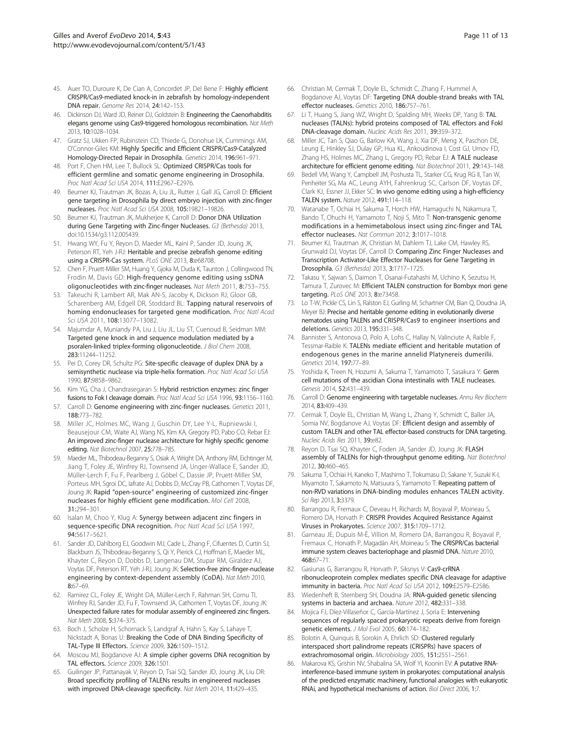- <span id="page-10-0"></span>45. Auer TO, Duroure K, De Cian A, Concordet JP, Del Bene F: Highly efficient CRISPR/Cas9-mediated knock-in in zebrafish by homology-independent DNA repair. Genome Res 2014, 24:142–153.
- 46. Dickinson DJ, Ward JD, Reiner DJ, Goldstein B: Engineering the Caenorhabditis elegans genome using Cas9-triggered homologous recombination. Nat Meth 2013, 10:1028–1034.
- 47. Gratz SJ, Ukken FP, Rubinstein CD, Thiede G, Donohue LK, Cummings AM, O'Connor-Giles KM: Highly Specific and Efficient CRISPR/Cas9-Catalyzed Homology-Directed Repair in Drosophila. Genetics 2014, 196:961–971.
- 48. Port F, Chen HM, Lee T, Bullock SL: Optimized CRISPR/Cas tools for efficient germline and somatic genome engineering in Drosophila. Proc Natl Acad Sci USA 2014, 111:E2967–E2976.
- 49. Beumer KJ, Trautman JK, Bozas A, Liu JL, Rutter J, Gall JG, Carroll D: Efficient gene targeting in Drosophila by direct embryo injection with zinc-finger nucleases. Proc Natl Acad Sci USA 2008, 105:19821–19826.
- 50. Beumer KJ, Trautman JK, Mukherjee K, Carroll D: Donor DNA Utilization during Gene Targeting with Zinc-finger Nucleases. G3 (Bethesda) 2013, doi:10.1534/g3.112.005439.
- 51. Hwang WY, Fu Y, Reyon D, Maeder ML, Kaini P, Sander JD, Joung JK, Peterson RT, Yeh J-RJ: Heritable and precise zebrafish genome editing using a CRISPR-Cas system. PLoS ONE 2013, 8:e68708.
- 52. Chen F, Pruett-Miller SM, Huang Y, Gjoka M, Duda K, Taunton J, Collingwood TN, Frodin M, Davis GD: High-frequency genome editing using ssDNA oligonucleotides with zinc-finger nucleases. Nat Meth 2011, 8:753–755.
- 53. Takeuchi R, Lambert AR, Mak AN-S, Jacoby K, Dickson RJ, Gloor GB, Scharenberg AM, Edgell DR, Stoddard BL: Tapping natural reservoirs of homing endonucleases for targeted gene modification. Proc Natl Acad Sci USA 2011, 108:13077–13082.
- 54. Majumdar A, Muniandy PA, Liu J, Liu JL, Liu ST, Cuenoud B, Seidman MM: Targeted gene knock in and sequence modulation mediated by a psoralen-linked triplex-forming oligonucleotide. J Biol Chem 2008, 283:11244–11252.
- 55. Pei D, Corey DR, Schultz PG: Site-specific cleavage of duplex DNA by a semisynthetic nuclease via triple-helix formation. Proc Natl Acad Sci USA 1990, 87:9858–9862.
- 56. Kim YG, Cha J, Chandrasegaran S: Hybrid restriction enzymes: zinc finger fusions to Fok I cleavage domain. Proc Natl Acad Sci USA 1996, 93:1156-1160.
- 57. Carroll D: Genome engineering with zinc-finger nucleases. Genetics 2011, 188:773–782.
- 58. Miller JC, Holmes MC, Wang J, Guschin DY, Lee Y-L, Rupniewski I, Beausejour CM, Waite AJ, Wang NS, Kim KA, Gregory PD, Pabo CO, Rebar EJ: An improved zinc-finger nuclease architecture for highly specific genome editing. Nat Biotechnol 2007, 25:778–785.
- 59. Maeder ML, Thibodeau-Beganny S, Osiak A, Wright DA, Anthony RM, Eichtinger M, Jiang T, Foley JE, Winfrey RJ, Townsend JA, Unger-Wallace E, Sander JD, Müller-Lerch F, Fu F, Pearlberg J, Göbel C, Dassie JP, Pruett-Miller SM, Porteus MH, Sgroi DC, Iafrate AJ, Dobbs D, McCray PB, Cathomen T, Voytas DF, Joung JK: Rapid "open-source" engineering of customized zinc-finger nucleases for highly efficient gene modification. Mol Cell 2008, 31:294–301.
- 60. Isalan M, Choo Y, Klug A: Synergy between adjacent zinc fingers in sequence-specific DNA recognition. Proc Natl Acad Sci USA 1997, 94:5617–5621.
- 61. Sander JD, Dahlborg EJ, Goodwin MJ, Cade L, Zhang F, Cifuentes D, Curtin SJ, Blackburn JS, Thibodeau-Beganny S, Qi Y, Pierick CJ, Hoffman E, Maeder ML, Khayter C, Reyon D, Dobbs D, Langenau DM, Stupar RM, Giraldez AJ, Voytas DF, Peterson RT, Yeh J-RJ, Joung JK: Selection-free zinc-finger-nuclease engineering by context-dependent assembly (CoDA). Nat Meth 2010, 8:67–69.
- 62. Ramirez CL, Foley JE, Wright DA, Müller-Lerch F, Rahman SH, Cornu TI, Winfrey RJ, Sander JD, Fu F, Townsend JA, Cathomen T, Voytas DF, Joung JK: Unexpected failure rates for modular assembly of engineered zinc fingers. Nat Meth 2008, 5:374–375.
- 63. Boch J, Scholze H, Schornack S, Landgraf A, Hahn S, Kay S, Lahaye T, Nickstadt A, Bonas U: Breaking the Code of DNA Binding Specificity of TAL-Type III Effectors. Science 2009, 326:1509–1512.
- 64. Moscou MJ, Bogdanove AJ: A simple cipher governs DNA recognition by TAL effectors. Science 2009, 326:1501.
- 65. Guilinger JP, Pattanayak V, Reyon D, Tsai SQ, Sander JD, Joung JK, Liu DR: Broad specificity profiling of TALENs results in engineered nucleases with improved DNA-cleavage specificity. Nat Meth 2014, 11:429–435.
- 66. Christian M, Cermak T, Doyle EL, Schmidt C, Zhang F, Hummel A, Bogdanove AJ, Voytas DF: Targeting DNA double-strand breaks with TAL effector nucleases. Genetics 2010, 186:757–761.
- 67. Li T, Huang S, Jiang WZ, Wright D, Spalding MH, Weeks DP, Yang B: TAL nucleases (TALNs): hybrid proteins composed of TAL effectors and FokI DNA-cleavage domain. Nucleic Acids Res 2011, 39:359–372.
- 68. Miller JC, Tan S, Qiao G, Barlow KA, Wang J, Xia DF, Meng X, Paschon DE, Leung E, Hinkley SJ, Dulay GP, Hua KL, Ankoudinova I, Cost GJ, Urnov FD, Zhang HS, Holmes MC, Zhang L, Gregory PD, Rebar EJ: A TALE nuclease architecture for efficient genome editing. Nat Biotechnol 2011, 29:143–148.
- 69. Bedell VM, Wang Y, Campbell JM, Poshusta TL, Starker CG, Krug RG II, Tan W, Penheiter SG, Ma AC, Leung AYH, Fahrenkrug SC, Carlson DF, Voytas DF, Clark KJ, Essner JJ, Ekker SC: In vivo genome editing using a high-efficiency TALEN system. Nature 2012, 491:114–118.
- 70. Watanabe T, Ochiai H, Sakuma T, Horch HW, Hamaguchi N, Nakamura T, Bando T, Ohuchi H, Yamamoto T, Noji S, Mito T: Non-transgenic genome modifications in a hemimetabolous insect using zinc-finger and TAL effector nucleases. Nat Commun 2012, 3:1017–1018.
- 71. Beumer KJ, Trautman JK, Christian M, Dahlem TJ, Lake CM, Hawley RS, Grunwald DJ, Voytas DF, Carroll D: Comparing Zinc Finger Nucleases and Transcription Activator-Like Effector Nucleases for Gene Targeting in Drosophila. G3 (Bethesda) 2013, 3:1717–1725.
- 72. Takasu Y, Sajwan S, Daimon T, Osanai-Futahashi M, Uchino K, Sezutsu H, Tamura T, Zurovec M: Efficient TALEN construction for Bombyx mori gene targeting. PLoS ONE 2013, 8:e73458.
- 73. Lo T-W, Pickle CS, Lin S, Ralston EJ, Gurling M, Schartner CM, Bian Q, Doudna JA, Meyer BJ: Precise and heritable genome editing in evolutionarily diverse nematodes using TALENs and CRISPR/Cas9 to engineer insertions and deletions. Genetics 2013, 195:331–348.
- 74. Bannister S, Antonova O, Polo A, Lohs C, Hallay N, Valinciute A, Raible F, Tessmar-Raible K: TALENs mediate efficient and heritable mutation of endogenous genes in the marine annelid Platynereis dumerilii. Genetics 2014, 197:77–89.
- 75. Yoshida K, Treen N, Hozumi A, Sakuma T, Yamamoto T, Sasakura Y: Germ cell mutations of the ascidian Ciona intestinalis with TALE nucleases. Genesis 2014, 52:431–439.
- 76. Carroll D: Genome engineering with targetable nucleases. Annu Rev Biochem 2014, 83:409–439.
- 77. Cermak T, Doyle EL, Christian M, Wang L, Zhang Y, Schmidt C, Baller JA, Somia NV, Bogdanove AJ, Voytas DF: Efficient design and assembly of custom TALEN and other TAL effector-based constructs for DNA targeting. Nucleic Acids Res 2011, 39:e82.
- 78. Reyon D, Tsai SQ, Khayter C, Foden JA, Sander JD, Joung JK: FLASH assembly of TALENs for high-throughput genome editing. Nat Biotechnol 2012, 30:460–465.
- 79. Sakuma T, Ochiai H, Kaneko T, Mashimo T, Tokumasu D, Sakane Y, Suzuki K-I, Miyamoto T, Sakamoto N, Matsuura S, Yamamoto T: Repeating pattern of non-RVD variations in DNA-binding modules enhances TALEN activity. Sci Rep 2013, 3:3379.
- Barrangou R, Fremaux C, Deveau H, Richards M, Boyaval P, Moineau S, Romero DA, Horvath P: CRISPR Provides Acquired Resistance Against Viruses in Prokaryotes. Science 2007, 315:1709–1712.
- 81. Garneau JE, Dupuis M-È, Villion M, Romero DA, Barrangou R, Boyaval P, Fremaux C, Horvath P, Magadán AH, Moineau S: The CRISPR/Cas bacterial immune system cleaves bacteriophage and plasmid DNA. Nature 2010, 468:67–71.
- 82. Gasiunas G, Barrangou R, Horvath P, Siksnys V: Cas9-crRNA ribonucleoprotein complex mediates specific DNA cleavage for adaptive immunity in bacteria. Proc Natl Acad Sci USA 2012, 109:E2579-E2586.
- 83. Wiedenheft B, Sternberg SH, Doudna JA: RNA-guided genetic silencing systems in bacteria and archaea. Nature 2012, 482:331–338.
- 84. Mojica FJ, Díez-Villaseñor C, García-Martínez J, Soria E: Intervening sequences of regularly spaced prokaryotic repeats derive from foreign genetic elements. J Mol Evol 2005, 60:174–182.
- 85. Bolotin A, Quinquis B, Sorokin A, Ehrlich SD: Clustered regularly interspaced short palindrome repeats (CRISPRs) have spacers of extrachromosomal origin. Microbiology 2005, 151:2551–2561.
- Makarova KS, Grishin NV, Shabalina SA, Wolf YI, Koonin EV: A putative RNAinterference-based immune system in prokaryotes: computational analysis of the predicted enzymatic machinery, functional analogies with eukaryotic RNAi, and hypothetical mechanisms of action. Biol Direct 2006, 1:7.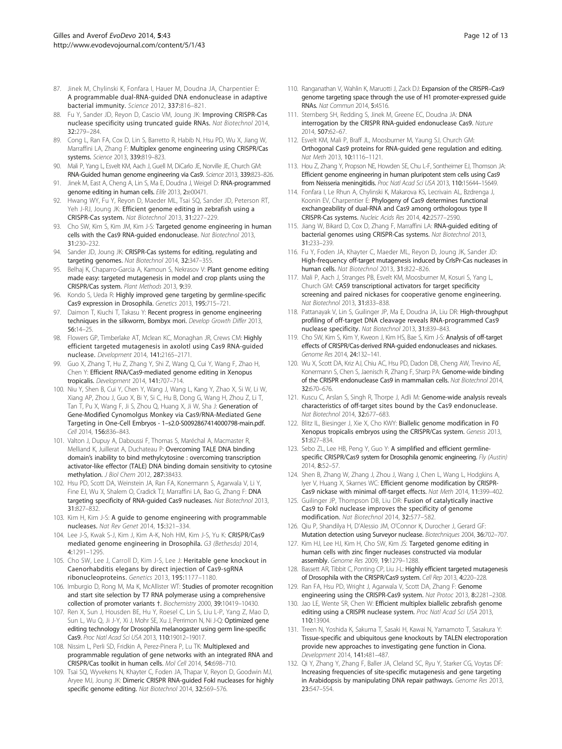- <span id="page-11-0"></span>87. Jinek M, Chylinski K, Fonfara I, Hauer M, Doudna JA, Charpentier E: A programmable dual-RNA-guided DNA endonuclease in adaptive bacterial immunity. Science 2012, 337:816–821.
- 88. Fu Y, Sander JD, Reyon D, Cascio VM, Joung JK: Improving CRISPR-Cas nuclease specificity using truncated guide RNAs. Nat Biotechnol 2014, 32:279–284.
- 89. Cong L, Ran FA, Cox D, Lin S, Barretto R, Habib N, Hsu PD, Wu X, Jiang W, Marraffini LA, Zhang F: Multiplex genome engineering using CRISPR/Cas systems. Science 2013, 339:819–823.
- 90. Mali P, Yang L, Esvelt KM, Aach J, Guell M, DiCarlo JE, Norville JE, Church GM: RNA-Guided human genome engineering via Cas9. Science 2013, 339:823–826.
- 91. Jinek M, East A, Cheng A, Lin S, Ma E, Doudna J, Weigel D: RNA-programmed genome editing in human cells. Elife 2013, 2:e00471.
- 92. Hwang WY, Fu Y, Reyon D, Maeder ML, Tsai SQ, Sander JD, Peterson RT, Yeh J-RJ, Joung JK: Efficient genome editing in zebrafish using a CRISPR-Cas system. Nat Biotechnol 2013, 31:227–229.
- 93. Cho SW, Kim S, Kim JM, Kim J-S: Targeted genome engineering in human cells with the Cas9 RNA-guided endonuclease. Nat Biotechnol 2013, 31:230–232.
- 94. Sander JD, Joung JK: CRISPR-Cas systems for editing, regulating and targeting genomes. Nat Biotechnol 2014, 32:347–355.
- 95. Belhaj K, Chaparro-Garcia A, Kamoun S, Nekrasov V: Plant genome editing made easy: targeted mutagenesis in model and crop plants using the CRISPR/Cas system. Plant Methods 2013, 9:39.
- 96. Kondo S, Ueda R: Highly improved gene targeting by germline-specific Cas9 expression in Drosophila. Genetics 2013, 195:715–721.
- 97. Daimon T, Kiuchi T, Takasu Y: Recent progress in genome engineering techniques in the silkworm, Bombyx mori. Develop Growth Differ 2013, 56:14–25.
- 98. Flowers GP, Timberlake AT, Mclean KC, Monaghan JR, Crews CM: Highly efficient targeted mutagenesis in axolotl using Cas9 RNA-guided nuclease. Development 2014, 141:2165–2171.
- 99. Guo X, Zhang T, Hu Z, Zhang Y, Shi Z, Wang Q, Cui Y, Wang F, Zhao H, Chen Y: Efficient RNA/Cas9-mediated genome editing in Xenopus tropicalis. Development 2014, 141:707–714.
- 100. Niu Y, Shen B, Cui Y, Chen Y, Wang J, Wang L, Kang Y, Zhao X, Si W, Li W, Xiang AP, Zhou J, Guo X, Bi Y, Si C, Hu B, Dong G, Wang H, Zhou Z, Li T, Tan T, Pu X, Wang F, Ji S, Zhou Q, Huang X, Ji W, Sha J: Generation of Gene-Modified Cynomolgus Monkey via Cas9/RNA-Mediated Gene Targeting in One-Cell Embryos - 1–s2.0-S0092867414000798-main.pdf. Cell 2014, 156:836–843.
- 101. Valton J, Dupuy A, Daboussi F, Thomas S, Maréchal A, Macmaster R, Melliand K, Juillerat A, Duchateau P: Overcoming TALE DNA binding domain's inability to bind methylcytosine : overcoming transcription activator-like effector (TALE) DNA binding domain sensitivity to cytosine methylation. J Biol Chem 2012, 287:38433.
- 102. Hsu PD, Scott DA, Weinstein JA, Ran FA, Konermann S, Agarwala V, Li Y, Fine EJ, Wu X, Shalem O, Cradick TJ, Marraffini LA, Bao G, Zhang F: DNA targeting specificity of RNA-guided Cas9 nucleases. Nat Biotechnol 2013, 31:827–832.
- 103. Kim H, Kim J-S: A quide to genome engineering with programmable nucleases. Nat Rev Genet 2014, 15:321–334.
- 104. Lee J-S, Kwak S-J, Kim J, Kim A-K, Noh HM, Kim J-S, Yu K: CRISPR/Cas9 mediated genome engineering in Drosophila. G3 (Bethesda) 2014, 4:1291–1295.
- 105. Cho SW, Lee J, Carroll D, Kim J-S, Lee J: Heritable gene knockout in Caenorhabditis elegans by direct injection of Cas9-sgRNA ribonucleoproteins. Genetics 2013, 195:1177–1180.
- 106. Imburgio D, Rong M, Ma K, McAllister WT: Studies of promoter recognition and start site selection by T7 RNA polymerase using a comprehensive collection of promoter variants †. Biochemistry 2000, 39:10419–10430.
- 107. Ren X, Sun J, Housden BE, Hu Y, Roesel C, Lin S, Liu L-P, Yang Z, Mao D, Sun L, Wu Q, Ji J-Y, Xi J, Mohr SE, Xu J, Perrimon N, Ni J-Q: Optimized gene editing technology for Drosophila melanogaster using germ line-specific Cas9. Proc Natl Acad Sci USA 2013, 110:19012–19017.
- 108. Nissim L, Perli SD, Fridkin A, Perez-Pinera P, Lu TK: Multiplexed and programmable regulation of gene networks with an integrated RNA and CRISPR/Cas toolkit in human cells. Mol Cell 2014, 54:698–710.
- 109. Tsai SQ, Wyvekens N, Khayter C, Foden JA, Thapar V, Reyon D, Goodwin MJ, Aryee MJ, Joung JK: Dimeric CRISPR RNA-guided Fokl nucleases for highly specific genome editing. Nat Biotechnol 2014, 32:569–576.
- 110. Ranganathan V, Wahlin K, Maruotti J, Zack DJ: Expansion of the CRISPR-Cas9 genome targeting space through the use of H1 promoter-expressed guide RNAs. Nat Commun 2014, 5:4516.
- 111. Sternberg SH, Redding S, Jinek M, Greene EC, Doudna JA: DNA interrogation by the CRISPR RNA-guided endonuclease Cas9. Nature 2014, 507:62–67.
- 112. Esvelt KM, Mali P, Braff JL, Moosburner M, Yaung SJ, Church GM: Orthogonal Cas9 proteins for RNA-guided gene regulation and editing. Nat Meth 2013, 10:1116–1121.
- 113. Hou Z, Zhang Y, Propson NE, Howden SE, Chu L-F, Sontheimer EJ, Thomson JA: Efficient genome engineering in human pluripotent stem cells using Cas9 from Neisseria meningitidis. Proc Natl Acad Sci USA 2013, 110:15644-15649.
- 114. Fonfara I, Le Rhun A, Chylinski K, Makarova KS, Lecrivain AL, Bzdrenga J, Koonin EV, Charpentier E: Phylogeny of Cas9 determines functional exchangeability of dual-RNA and Cas9 among orthologous type II CRISPR-Cas systems. Nucleic Acids Res 2014, 42:2577–2590.
- 115. Jiang W, Bikard D, Cox D, Zhang F, Marraffini LA: RNA-guided editing of bacterial genomes using CRISPR-Cas systems. Nat Biotechnol 2013, 31:233–239.
- 116. Fu Y, Foden JA, Khayter C, Maeder ML, Reyon D, Joung JK, Sander JD: High-frequency off-target mutagenesis induced by CrIsPr-Cas nucleases in human cells. Nat Biotechnol 2013, 31:822–826.
- 117. Mali P, Aach J, Stranges PB, Esvelt KM, Moosburner M, Kosuri S, Yang L, Church GM: CAS9 transcriptional activators for target specificity screening and paired nickases for cooperative genome engineering. Nat Biotechnol 2013, 31:833–838.
- 118. Pattanayak V, Lin S, Guilinger JP, Ma E, Doudna JA, Liu DR: High-throughput profiling of off-target DNA cleavage reveals RNA-programmed Cas9 nuclease specificity. Nat Biotechnol 2013, 31:839–843.
- 119. Cho SW, Kim S, Kim Y, Kweon J, Kim HS, Bae S, Kim J-S: Analysis of off-target effects of CRISPR/Cas-derived RNA-guided endonucleases and nickases. Genome Res 2014, 24:132–141.
- 120. Wu X, Scott DA, Kriz AJ, Chiu AC, Hsu PD, Dadon DB, Cheng AW, Trevino AE, Konermann S, Chen S, Jaenisch R, Zhang F, Sharp PA: Genome-wide binding of the CRISPR endonuclease Cas9 in mammalian cells. Nat Biotechnol 2014, 32:670–676.
- 121. Kuscu C, Arslan S, Singh R, Thorpe J, Adli M: Genome-wide analysis reveals characteristics of off-target sites bound by the Cas9 endonuclease. Nat Biotechnol 2014, 32:677–683.
- 122. Blitz IL, Biesinger J, Xie X, Cho KWY: Biallelic genome modification in F0 Xenopus tropicalis embryos using the CRISPR/Cas system. Genesis 2013, 51:827–834.
- 123. Sebo ZL, Lee HB, Peng Y, Guo Y: A simplified and efficient germlinespecific CRISPR/Cas9 system for Drosophila genomic engineering. Fly (Austin) 2014, 8:52–57.
- 124. Shen B, Zhang W, Zhang J, Zhou J, Wang J, Chen L, Wang L, Hodgkins A, Iyer V, Huang X, Skarnes WC: Efficient genome modification by CRISPR-Cas9 nickase with minimal off-target effects. Nat Meth 2014, 11:399–402.
- 125. Guilinger JP, Thompson DB, Liu DR: Fusion of catalytically inactive Cas9 to FokI nuclease improves the specificity of genome modification. Nat Biotechnol 2014, 32:577–582.
- 126. Qiu P, Shandilya H, D'Alessio JM, O'Connor K, Durocher J, Gerard GF: Mutation detection using Surveyor nuclease. Biotechniques 2004, 36:702–707.
- 127. Kim HJ, Lee HJ, Kim H, Cho SW, Kim JS: Targeted genome editing in human cells with zinc finger nucleases constructed via modular assembly. Genome Res 2009, 19:1279–1288.
- 128. Bassett AR, Tibbit C, Ponting CP, Liu J-L: Highly efficient targeted mutagenesis of Drosophila with the CRISPR/Cas9 system. Cell Rep 2013, 4:220–228.
- 129. Ran FA, Hsu PD, Wright J, Agarwala V, Scott DA, Zhang F: Genome engineering using the CRISPR-Cas9 system. Nat Protoc 2013, 8:2281–2308.
- 130. Jao LE, Wente SR, Chen W: Efficient multiplex biallelic zebrafish genome editing using a CRISPR nuclease system. Proc Natl Acad Sci USA 2013, 110:13904.
- 131. Treen N, Yoshida K, Sakuma T, Sasaki H, Kawai N, Yamamoto T, Sasakura Y: Tissue-specific and ubiquitous gene knockouts by TALEN electroporation provide new approaches to investigating gene function in Ciona. Development 2014, 141:481–487.
- 132. Qi Y, Zhang Y, Zhang F, Baller JA, Cleland SC, Ryu Y, Starker CG, Voytas DF: Increasing frequencies of site-specific mutagenesis and gene targeting in Arabidopsis by manipulating DNA repair pathways. Genome Res 2013, 23:547–554.